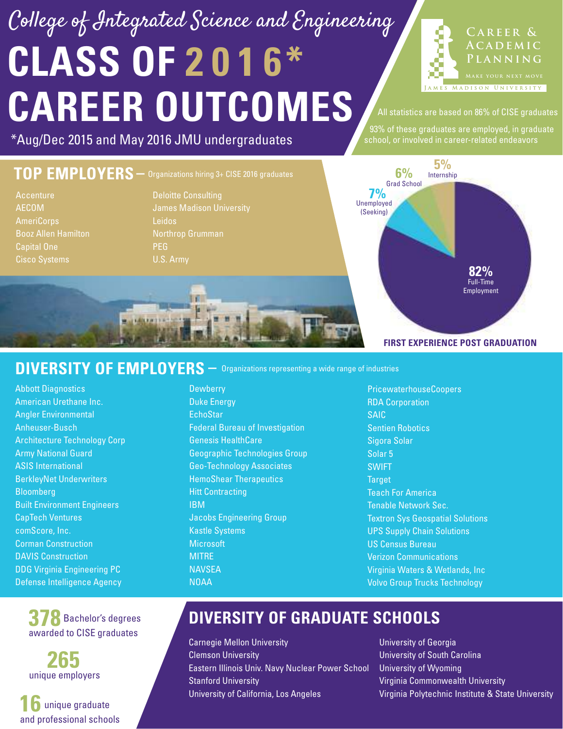# **CLASS OF 2 0 1 6\* CAREER OUTCOMES** College of Integrated Science and Engineering



All statistics are based on 86% of CISE graduates

93% of these graduates are employed, in graduate

#### \*Aug/Dec 2015 and May 2016 JMU undergraduates **Subset of the subset of the Sechool**, or involved in career-related endeavors

#### **TOP EMPLOYERS –** Organizations hiring 3+ CISE 2016 graduates Deloitte Consulting Northrop Grumman PEG U.S. Army **Accenture** AECOM AmeriCorps Booz Allen Hamilton Capital One Cisco Systems **FIRST EXPERIENCE POST GRADUATION** Unemployed **7%** (Seeking) Grad School **6%** Full-Time Employment **82%** Internship **5%**

#### DIVERSITY OF EMPLOYERS  $-$  Organizations representing a wide range of industries

Abbott Diagnostics American Urethane Inc. Angler Environmental Anheuser-Busch Architecture Technology Corp Army National Guard ASIS International BerkleyNet Underwriters **Bloomberg** Built Environment Engineers CapTech Ventures comScore, Inc. Corman Construction DAVIS Construction DDG Virginia Engineering PC Defense Intelligence Agency

> **378** Bachelor's degrees awarded to CISE graduates

**265** unique employers

**16** unique graduate and professional schools

#### **Dewberry** Duke Energy **EchoStar** Federal Bureau of Investigation Genesis HealthCare Geographic Technologies Group Geo-Technology Associates HemoShear Therapeutics Hitt Contracting IBM Jacobs Engineering Group Kastle Systems **Microsoft** MITRE **NAVSFA** NOAA

PricewaterhouseCoopers RDA Corporation SAIC Sentien Robotics Sigora Solar Solar 5 SWIFT **Target** Teach For America Tenable Network Sec. Textron Sys Geospatial Solutions UPS Supply Chain Solutions US Census Bureau Verizon Communications Virginia Waters & Wetlands, Inc Volvo Group Trucks Technology

### **DIVERSITY OF GRADUATE SCHOOLS**

Carnegie Mellon University Clemson University Eastern Illinois Univ. Navy Nuclear Power School Stanford University University of California, Los Angeles

University of Georgia University of South Carolina University of Wyoming Virginia Commonwealth University Virginia Polytechnic Institute & State University